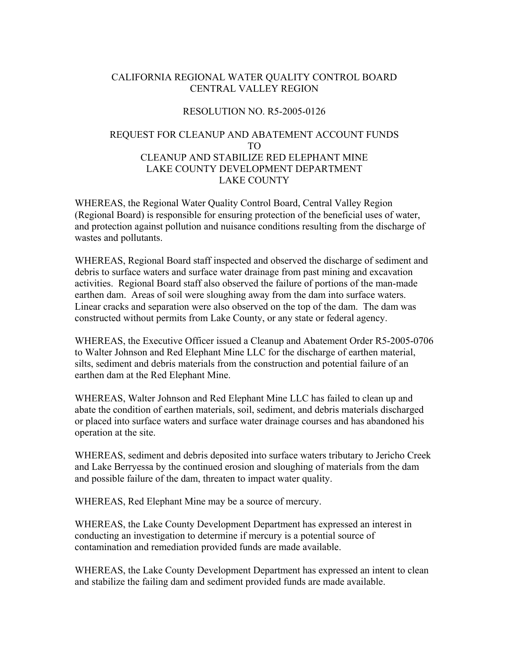## CALIFORNIA REGIONAL WATER QUALITY CONTROL BOARD CENTRAL VALLEY REGION

## RESOLUTION NO. R5-2005-0126

## REQUEST FOR CLEANUP AND ABATEMENT ACCOUNT FUNDS TO CLEANUP AND STABILIZE RED ELEPHANT MINE LAKE COUNTY DEVELOPMENT DEPARTMENT LAKE COUNTY

WHEREAS, the Regional Water Quality Control Board, Central Valley Region (Regional Board) is responsible for ensuring protection of the beneficial uses of water, and protection against pollution and nuisance conditions resulting from the discharge of wastes and pollutants.

WHEREAS, Regional Board staff inspected and observed the discharge of sediment and debris to surface waters and surface water drainage from past mining and excavation activities. Regional Board staff also observed the failure of portions of the man-made earthen dam. Areas of soil were sloughing away from the dam into surface waters. Linear cracks and separation were also observed on the top of the dam. The dam was constructed without permits from Lake County, or any state or federal agency.

WHEREAS, the Executive Officer issued a Cleanup and Abatement Order R5-2005-0706 to Walter Johnson and Red Elephant Mine LLC for the discharge of earthen material, silts, sediment and debris materials from the construction and potential failure of an earthen dam at the Red Elephant Mine.

WHEREAS, Walter Johnson and Red Elephant Mine LLC has failed to clean up and abate the condition of earthen materials, soil, sediment, and debris materials discharged or placed into surface waters and surface water drainage courses and has abandoned his operation at the site.

WHEREAS, sediment and debris deposited into surface waters tributary to Jericho Creek and Lake Berryessa by the continued erosion and sloughing of materials from the dam and possible failure of the dam, threaten to impact water quality.

WHEREAS, Red Elephant Mine may be a source of mercury.

WHEREAS, the Lake County Development Department has expressed an interest in conducting an investigation to determine if mercury is a potential source of contamination and remediation provided funds are made available.

WHEREAS, the Lake County Development Department has expressed an intent to clean and stabilize the failing dam and sediment provided funds are made available.